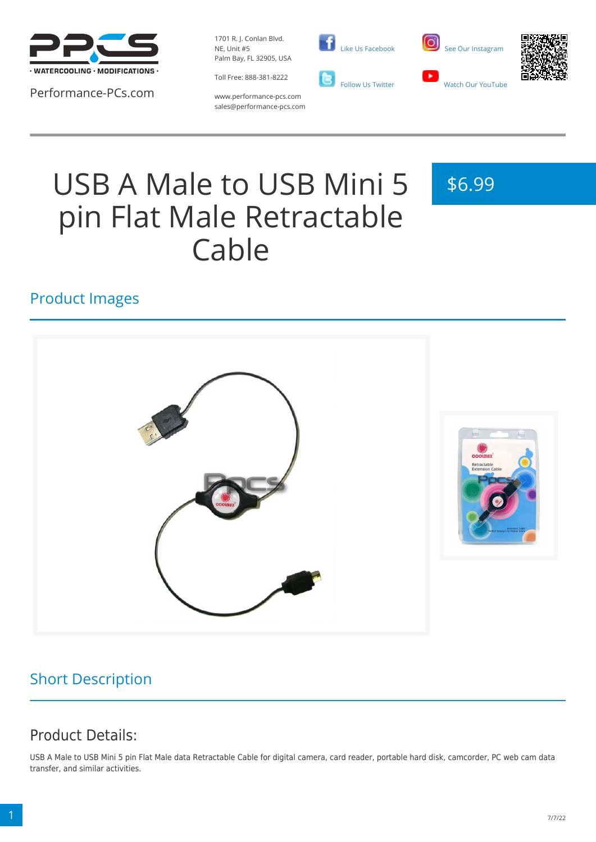

Performance-PCs.com

1701 R. J. Conlan Blvd. NE, Unit #5 Palm Bay, FL 32905, USA

Toll Free: 888-381-8222





www.performance-pcs.com sales@performance-pcs.com

# USB A Male to USB Mini 5 pin Flat Male Retractable Cable

\$6.99

### Product Images



# Short Description

# Product Details:

USB A Male to USB Mini 5 pin Flat Male data Retractable Cable for digital camera, card reader, portable hard disk, camcorder, PC web cam data transfer, and similar activities.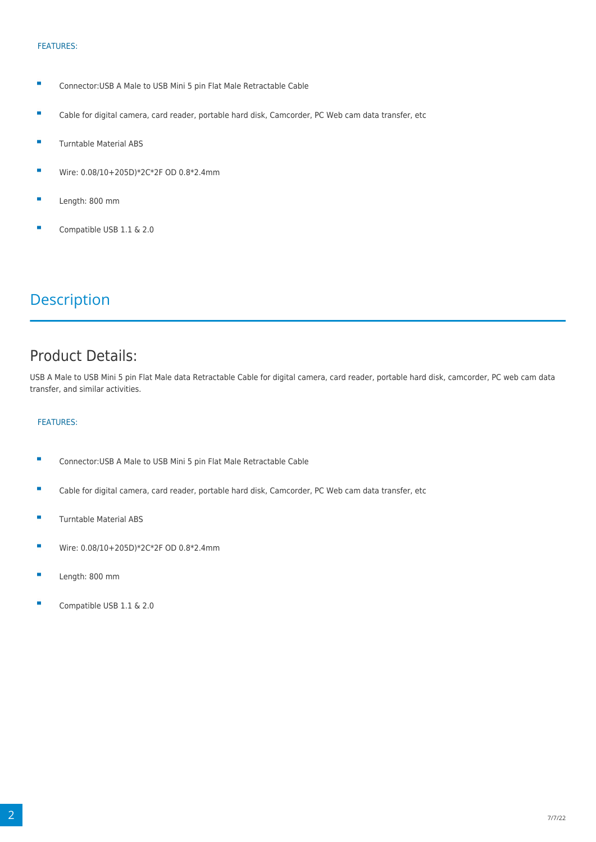#### FEATURES:

- Ė Connector:USB A Male to USB Mini 5 pin Flat Male Retractable Cable
- Cable for digital camera, card reader, portable hard disk, Camcorder, PC Web cam data transfer, etc ×
- $\blacksquare$ Turntable Material ABS
- $\blacksquare$ Wire: 0.08/10+205D)\*2C\*2F OD 0.8\*2.4mm
- Length: 800 mm
- Compatible USB 1.1 & 2.0

### **Description**

### Product Details:

USB A Male to USB Mini 5 pin Flat Male data Retractable Cable for digital camera, card reader, portable hard disk, camcorder, PC web cam data transfer, and similar activities.

#### FEATURES:

- $\blacksquare$ Connector:USB A Male to USB Mini 5 pin Flat Male Retractable Cable
- Ė Cable for digital camera, card reader, portable hard disk, Camcorder, PC Web cam data transfer, etc
- $\overline{\phantom{a}}$ Turntable Material ABS
- $\blacksquare$ Wire: 0.08/10+205D)\*2C\*2F OD 0.8\*2.4mm
- Ē. Length: 800 mm
- Compatible USB 1.1 & 2.0